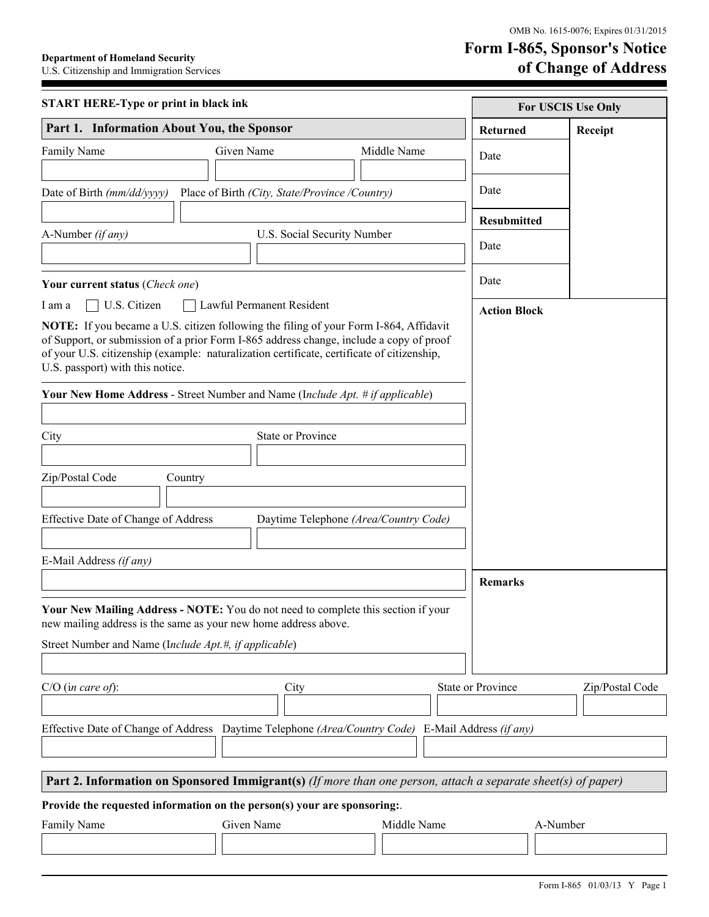## **Form I-865, Sponsor's Notice Department of Homeland Security**<br>
U.S. Citizenship and Immigration Services **Department of Change of Address**

 $\blacksquare$ 

| <b>START HERE-Type or print in black ink</b>                                                                                                                                                                                                                                                                              |                                                                                                                                                      |                                       | For USCIS Use Only |                 |
|---------------------------------------------------------------------------------------------------------------------------------------------------------------------------------------------------------------------------------------------------------------------------------------------------------------------------|------------------------------------------------------------------------------------------------------------------------------------------------------|---------------------------------------|--------------------|-----------------|
| Part 1. Information About You, the Sponsor                                                                                                                                                                                                                                                                                |                                                                                                                                                      |                                       | <b>Returned</b>    | Receipt         |
| Family Name                                                                                                                                                                                                                                                                                                               | Given Name                                                                                                                                           | Middle Name                           | Date               |                 |
| Date of Birth (mm/dd/yyyy)                                                                                                                                                                                                                                                                                                | Place of Birth (City, State/Province /Country)                                                                                                       |                                       | Date               |                 |
|                                                                                                                                                                                                                                                                                                                           |                                                                                                                                                      |                                       | <b>Resubmitted</b> |                 |
| A-Number (if any)<br>U.S. Social Security Number                                                                                                                                                                                                                                                                          |                                                                                                                                                      |                                       |                    |                 |
|                                                                                                                                                                                                                                                                                                                           |                                                                                                                                                      |                                       | Date               |                 |
| Your current status (Check one)                                                                                                                                                                                                                                                                                           |                                                                                                                                                      |                                       | Date               |                 |
| U.S. Citizen<br>I am a                                                                                                                                                                                                                                                                                                    | <b>Action Block</b>                                                                                                                                  |                                       |                    |                 |
| <b>NOTE:</b> If you became a U.S. citizen following the filing of your Form I-864, Affidavit<br>of Support, or submission of a prior Form I-865 address change, include a copy of proof<br>of your U.S. citizenship (example: naturalization certificate, certificate of citizenship,<br>U.S. passport) with this notice. |                                                                                                                                                      |                                       |                    |                 |
|                                                                                                                                                                                                                                                                                                                           | <b>Your New Home Address - Street Number and Name (Include Apt. # if applicable)</b>                                                                 |                                       |                    |                 |
| City                                                                                                                                                                                                                                                                                                                      | <b>State or Province</b>                                                                                                                             |                                       |                    |                 |
|                                                                                                                                                                                                                                                                                                                           |                                                                                                                                                      |                                       |                    |                 |
| Zip/Postal Code                                                                                                                                                                                                                                                                                                           | Country                                                                                                                                              |                                       |                    |                 |
| Effective Date of Change of Address                                                                                                                                                                                                                                                                                       |                                                                                                                                                      | Daytime Telephone (Area/Country Code) |                    |                 |
| E-Mail Address (if any)                                                                                                                                                                                                                                                                                                   |                                                                                                                                                      |                                       |                    |                 |
|                                                                                                                                                                                                                                                                                                                           |                                                                                                                                                      |                                       | <b>Remarks</b>     |                 |
|                                                                                                                                                                                                                                                                                                                           | Your New Mailing Address - NOTE: You do not need to complete this section if your<br>new mailing address is the same as your new home address above. |                                       |                    |                 |
| Street Number and Name (Include Apt.#, if applicable)                                                                                                                                                                                                                                                                     |                                                                                                                                                      |                                       |                    |                 |
| $C/O$ (in care of):                                                                                                                                                                                                                                                                                                       | City                                                                                                                                                 |                                       | State or Province  | Zip/Postal Code |
|                                                                                                                                                                                                                                                                                                                           | Effective Date of Change of Address Daytime Telephone (Area/Country Code) E-Mail Address (if any)                                                    |                                       |                    |                 |
|                                                                                                                                                                                                                                                                                                                           | Part 2. Information on Sponsored Immigrant(s) (If more than one person, attach a separate sheet(s) of paper)                                         |                                       |                    |                 |
|                                                                                                                                                                                                                                                                                                                           | Provide the requested information on the person(s) your are sponsoring:                                                                              |                                       |                    |                 |
| Family Name                                                                                                                                                                                                                                                                                                               | Given Name                                                                                                                                           | Middle Name                           | A-Number           |                 |
|                                                                                                                                                                                                                                                                                                                           |                                                                                                                                                      |                                       |                    |                 |
|                                                                                                                                                                                                                                                                                                                           |                                                                                                                                                      |                                       |                    |                 |